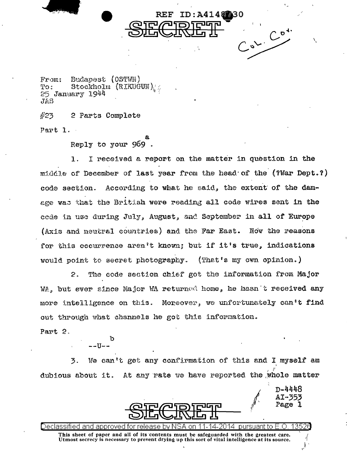Budapest (OSTWN) From: Stockholm (RIKUGUN)  $TQ$ :  $25$  January  $1944$  $JAS$ 

 $#23$ 2 Parts Complete Part 1.

Reply to your 969.

I received a report on the matter in question in the 1. middle of December of last year from the head of the (?War Dept.?) code section. According to what he said, the extent of the damage was that the British were reading all code wires sent in the code in use during July, August, and September in all of Europe (Axis and neutral countries) and the Far East. Now the reasons for this occurrence aren't known; but if it's true, indications would point to secret photography. (That's my own opinion.)

ID:A4148230

 $02.00$ 

REF

The code section chief got the information from Major  $\mathbf{2}$ . WA, but ever since Major WA returned home, he hasn t received any more intelligence on this. Moreover, we unfortunately can't find out through what channels he got this information.

Part 2.

ъ  $---11---$ 

We can't get any confirmation of this and I myself am 3. dubious about it. At any rate we have reported the whole matter

k

13526 Declassified annroved tor. nursuant tol This sheet of paper and all of its contents must be safeguarded with the greatest care. Utmost secrecy is necessary to prevent drying up this sort of vital intelligence at its source.